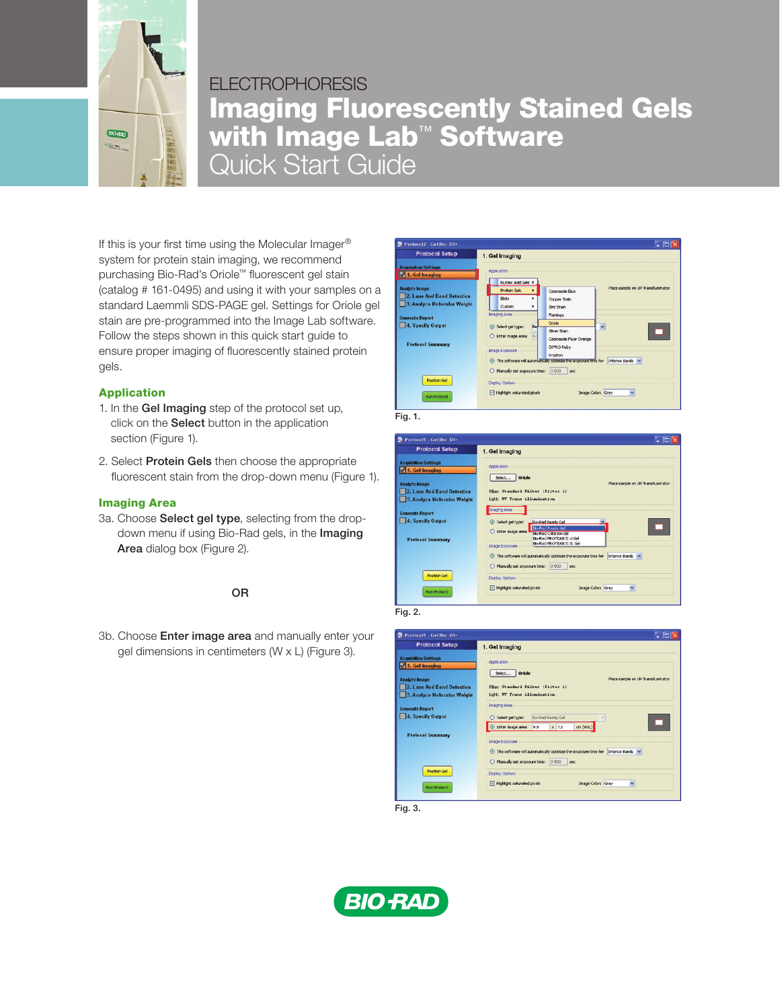

# FI FCTROPHORFSIS Imaging Fluorescently Stained Gels with Image Lab™ Software Quick Start Guide

If this is your first time using the Molecular Imager® system for protein stain imaging, we recommend purchasing Bio-Rad's Oriole™ fluorescent gel stain (catalog # 161-0495) and using it with your samples on a standard Laemmli SDS-PAGE gel. Settings for Oriole gel stain are pre-programmed into the Image Lab software. Follow the steps shown in this quick start guide to ensure proper imaging of fluorescently stained protein gels.

## Application

- 1. In the Gel Imaging step of the protocol set up, click on the Select button in the application section (Figure 1).
- 2. Select Protein Gels then choose the appropriate fluorescent stain from the drop-down menu (Figure 1).

## Imaging Area

3a. Choose Select gel type, selecting from the dropdown menu if using Bio-Rad gels, in the Imaging Area dialog box (Figure 2).

## OR

3b. Choose Enter image area and manually enter your gel dimensions in centimeters (W x L) (Figure 3).



Fig. 1.







Fig. 3.